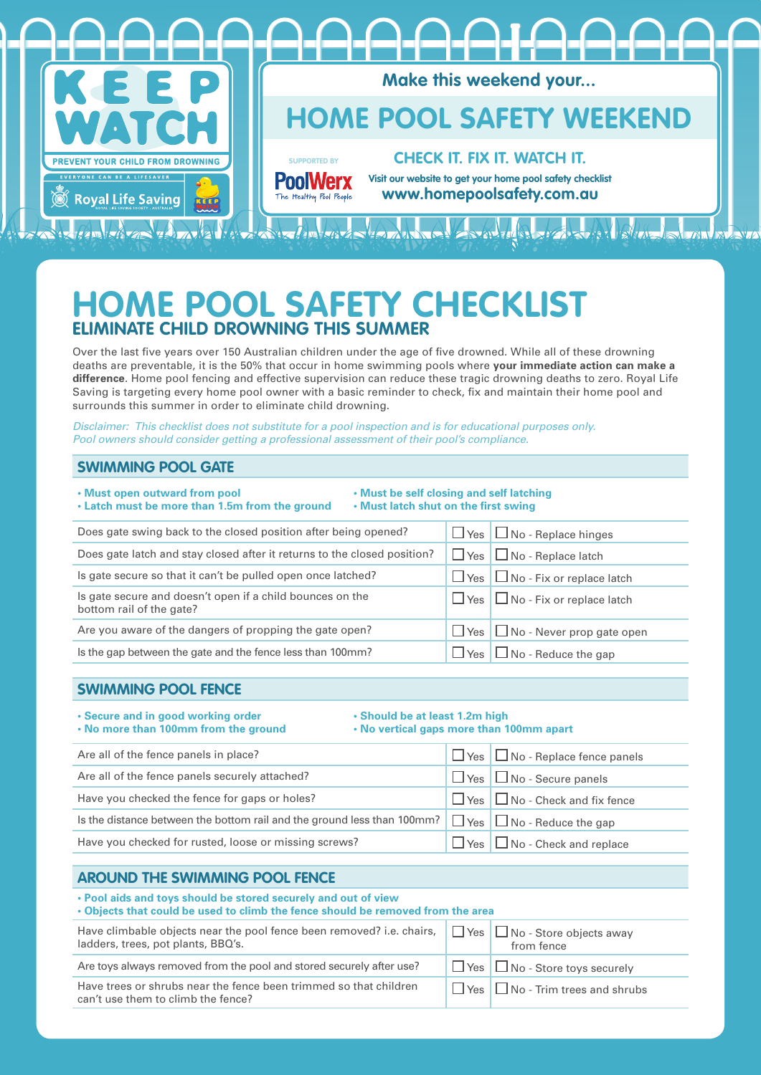

# **HOME POOL SAFETY CHECKLIST ELIMINATE CHILD DROWNING THIS SUMM**

Over the last five years over 150 Australian children under the age of five drowned. While all of these drowning deaths are preventable, it is the 50% that occur in home swimming pools where **your immediate action can make a difference**. Home pool fencing and effective supervision can reduce these tragic drowning deaths to zero. Royal Life Saving is targeting every home pool owner with a basic reminder to check, fix and maintain their home pool and surrounds this summer in order to eliminate child drowning.

*Disclaimer: This checklist does not substitute for a pool inspection and is for educational purposes only. Pool owners should consider getting a professional assessment of their pool's compliance.*

#### **SWIMMING POOL GATE**

| . Must open outward from pool<br>. Must be self closing and self latching<br>. Latch must be more than 1.5m from the ground<br>. Must latch shut on the first swing |             |                                             |
|---------------------------------------------------------------------------------------------------------------------------------------------------------------------|-------------|---------------------------------------------|
| Does gate swing back to the closed position after being opened?                                                                                                     | $\Box$ Yes  | $\Box$ No - Replace hinges                  |
| Does gate latch and stay closed after it returns to the closed position?                                                                                            | $\Box$ Yes  | $\Box$ No - Replace latch                   |
| Is gate secure so that it can't be pulled open once latched?                                                                                                        | $\Box$ Yes  | $\Box$ No - Fix or replace latch            |
| Is gate secure and doesn't open if a child bounces on the<br>bottom rail of the gate?                                                                               |             | $\Box$ Yes $\Box$ No - Fix or replace latch |
| Are you aware of the dangers of propping the gate open?                                                                                                             | $\Box$ Yes' | $\Box$ No - Never prop gate open            |
| Is the gap between the gate and the fence less than 100mm?                                                                                                          | $\Box$ Yes  | $\Box$ No - Reduce the gap                  |

#### **SWIMMING POOL FENCE**

## **• Secure and in good working order • Should be at least 1.2m high**

**• No vertical gaps more than 100mm apart** 

| Are all of the fence panels in place?                                                                         | $\Box$ Yes $\Box$ No - Replace fence panels |
|---------------------------------------------------------------------------------------------------------------|---------------------------------------------|
| Are all of the fence panels securely attached?                                                                | $\Box$ Yes $\Box$ No - Secure panels        |
| Have you checked the fence for gaps or holes?                                                                 | $\Box$ Yes $\Box$ No - Check and fix fence  |
| Is the distance between the bottom rail and the ground less than 100mm? $\Box$ Yes $\Box$ No - Reduce the gap |                                             |
| Have you checked for rusted, loose or missing screws?                                                         | $\Box$ Yes $\Box$ No - Check and replace    |

### **AROUND THE SWIMMING POOL FENCE**

#### **• Pool aids and toys should be stored securely and out of view**

| The contract and to you chould be otherwise opening on the contract of the contract of the contract of the contract of the contract of the contract of the contract of the contract of the contract of the contract of the con |  |
|--------------------------------------------------------------------------------------------------------------------------------------------------------------------------------------------------------------------------------|--|
| • Objects that could be used to climb the fence should be removed from the area                                                                                                                                                |  |

| Have climbable objects near the pool fence been removed? i.e. chairs, $\Box$ Yes $\Box$<br>ladders, trees, pot plants, BBQ's. | $\Box$ No - Store objects away<br>from fence |
|-------------------------------------------------------------------------------------------------------------------------------|----------------------------------------------|
| Are toys always removed from the pool and stored securely after use?                                                          | $\Box$ Yes $\Box$ No - Store toys securely   |
| Have trees or shrubs near the fence been trimmed so that children<br>can't use them to climb the fence?                       | $\Box$ Yes $\Box$ No - Trim trees and shrubs |